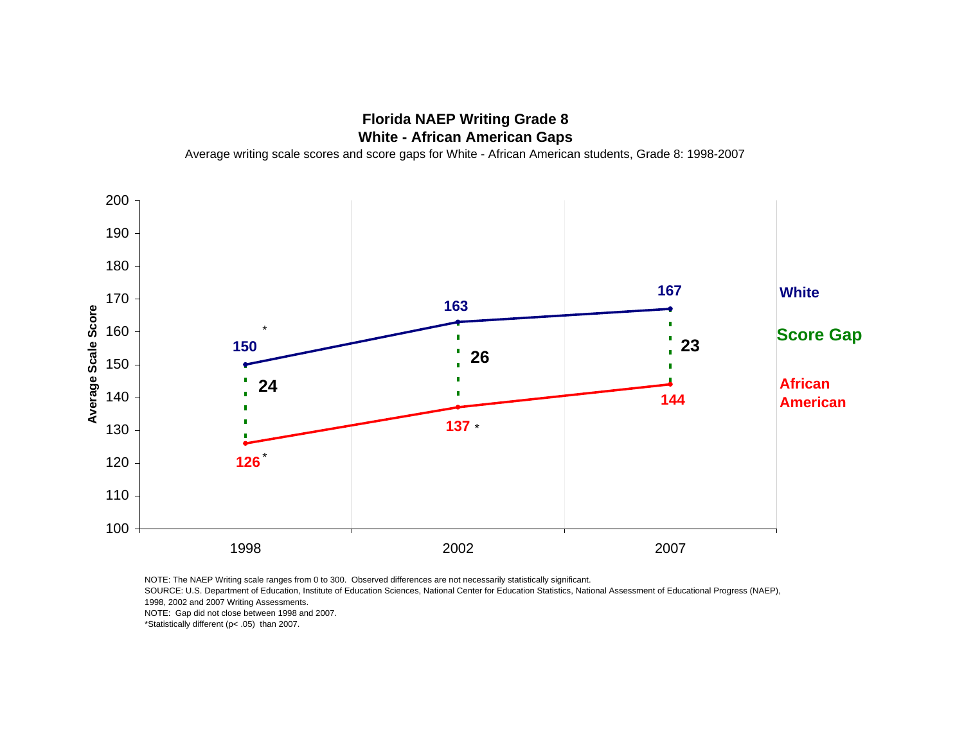## **Florida NAEP Writing Grade 8 White - African American Gaps**

Average writing scale scores and score gaps for White - African American students, Grade 8: 1998-2007



NOTE: The NAEP Writing scale ranges from 0 to 300. Observed differences are not necessarily statistically significant.

SOURCE: U.S. Department of Education, Institute of Education Sciences, National Center for Education Statistics, National Assessment of Educational Progress (NAEP), 1998, 2002 and 2007 Writing Assessments.

NOTE: Gap did not close between 1998 and 2007.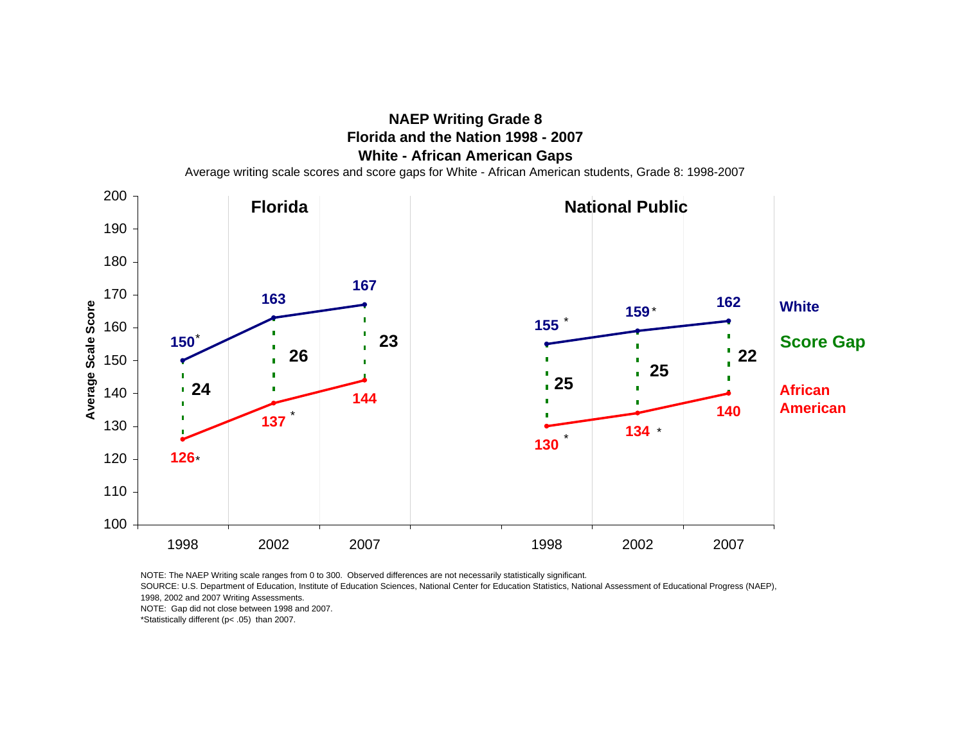

SOURCE: U.S. Department of Education, Institute of Education Sciences, National Center for Education Statistics, National Assessment of Educational Progress (NAEP), 1998, 2002 and 2007 Writing Assessments.

NOTE: Gap did not close between 1998 and 2007.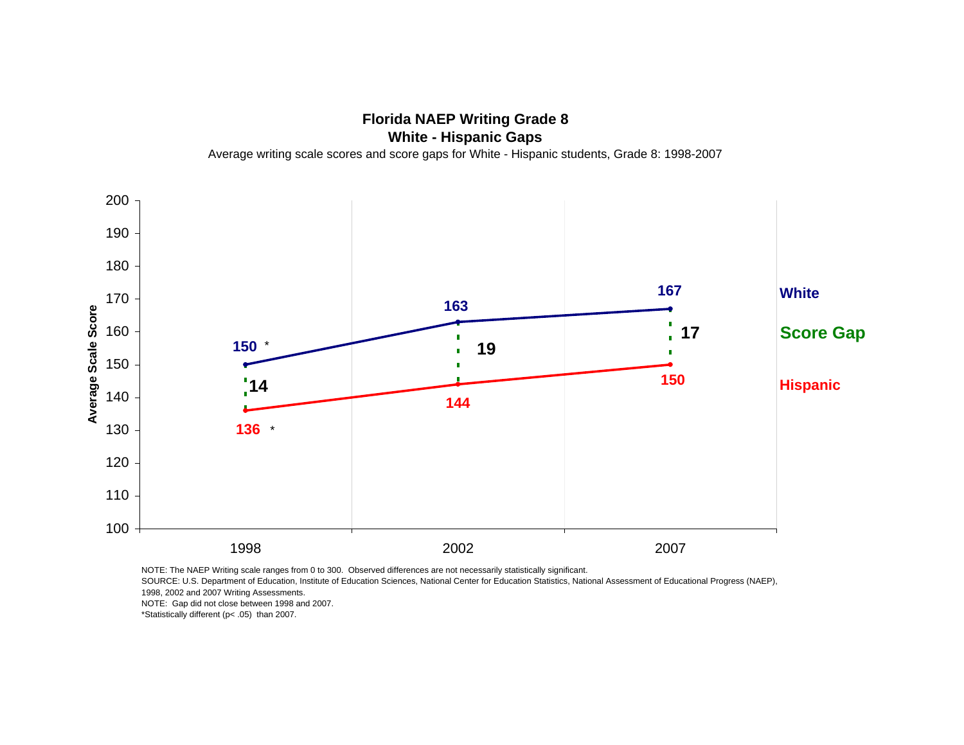**Florida NAEP Writing Grade 8 White - Hispanic Gaps** Average writing scale scores and score gaps for White - Hispanic students, Grade 8: 1998-2007



SOURCE: U.S. Department of Education, Institute of Education Sciences, National Center for Education Statistics, National Assessment of Educational Progress (NAEP),

1998, 2002 and 2007 Writing Assessments.

NOTE: Gap did not close between 1998 and 2007.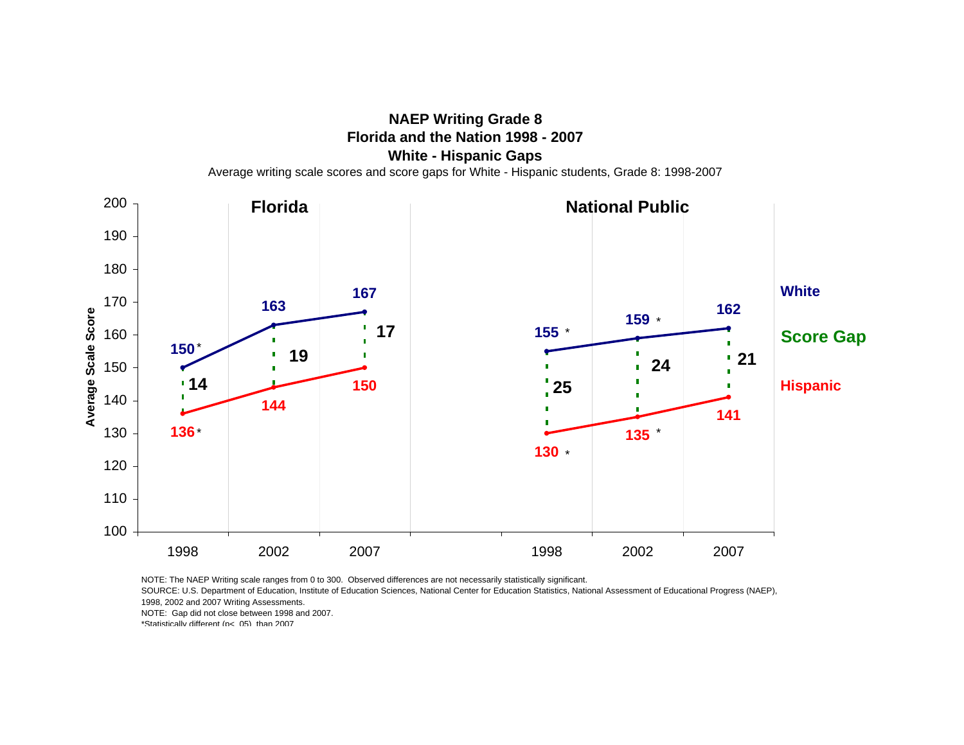**NAEP Writing Grade 8 Florida and the Nation 1998 - 2007White - Hispanic Gaps**

Average writing scale scores and score gaps for White - Hispanic students, Grade 8: 1998-2007



NOTE: The NAEP Writing scale ranges from 0 to 300. Observed differences are not necessarily statistically significant.

SOURCE: U.S. Department of Education, Institute of Education Sciences, National Center for Education Statistics, National Assessment of Educational Progress (NAEP), 1998, 2002 and 2007 Writing Assessments.

NOTE: Gap did not close between 1998 and 2007.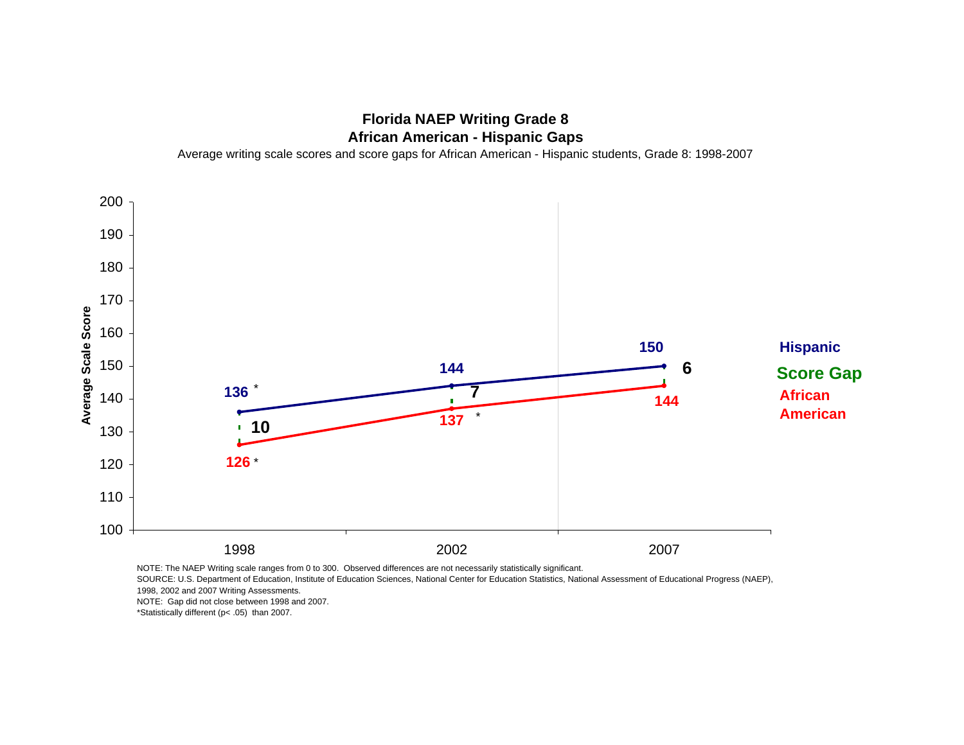## **Florida NAEP Writing Grade 8 African American - Hispanic Gaps**

Average writing scale scores and score gaps for African American - Hispanic students, Grade 8: 1998-2007



NOTE: The NAEP Writing scale ranges from 0 to 300. Observed differences are not necessarily statistically significant.

SOURCE: U.S. Department of Education, Institute of Education Sciences, National Center for Education Statistics, National Assessment of Educational Progress (NAEP), 1998, 2002 and 2007 Writing Assessments.

NOTE: Gap did not close between 1998 and 2007.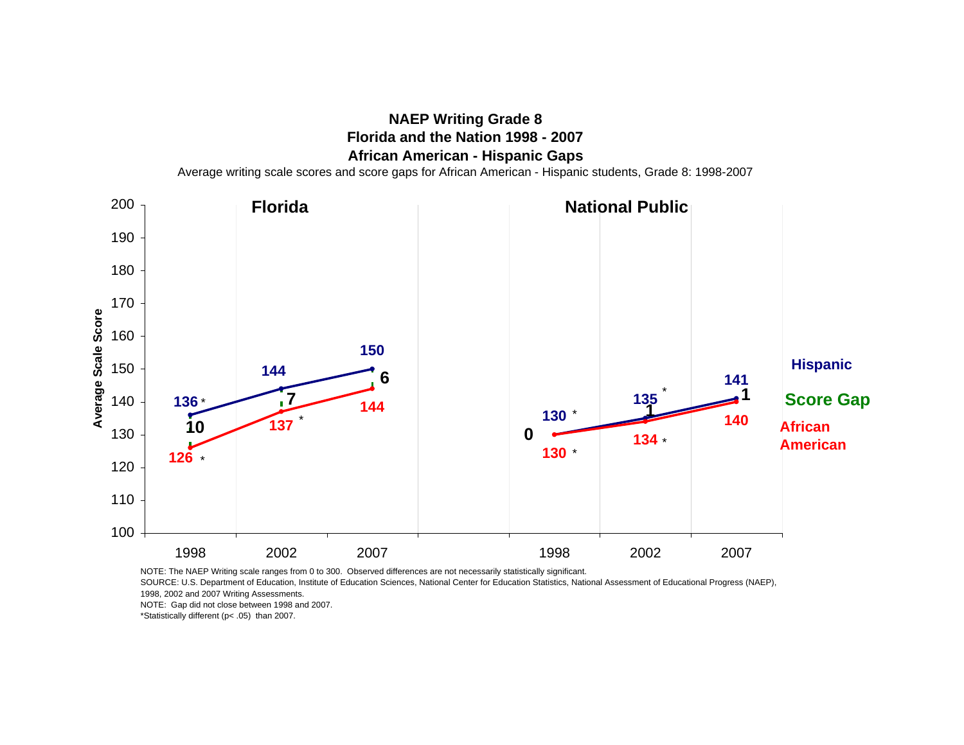## **NAEP Writing Grade 8 Florida and the Nation 1998 - 2007African American - Hispanic Gaps**

Average writing scale scores and score gaps for African American - Hispanic students, Grade 8: 1998-2007



NOTE: The NAEP Writing scale ranges from 0 to 300. Observed differences are not necessarily statistically significant.

SOURCE: U.S. Department of Education, Institute of Education Sciences, National Center for Education Statistics, National Assessment of Educational Progress (NAEP),

1998, 2002 and 2007 Writing Assessments. NOTE: Gap did not close between 1998 and 2007.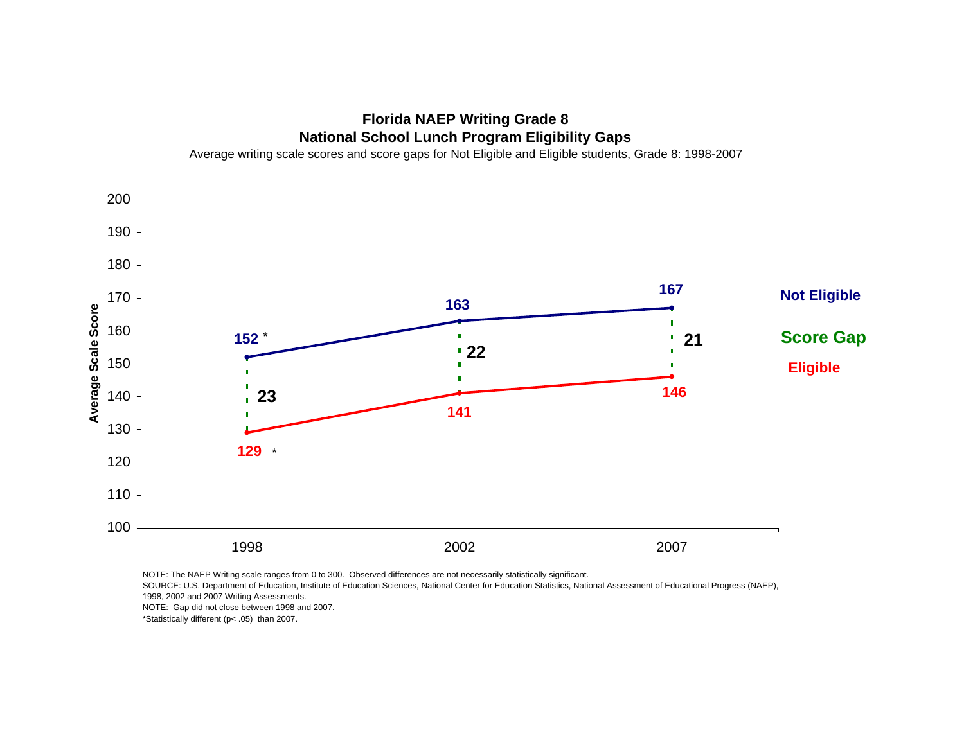**Florida NAEP Writing Grade 8 National School Lunch Program Eligibility Gaps**

Average writing scale scores and score gaps for Not Eligible and Eligible students, Grade 8: 1998-2007



NOTE: The NAEP Writing scale ranges from 0 to 300. Observed differences are not necessarily statistically significant.

SOURCE: U.S. Department of Education, Institute of Education Sciences, National Center for Education Statistics, National Assessment of Educational Progress (NAEP), 1998, 2002 and 2007 Writing Assessments.

NOTE: Gap did not close between 1998 and 2007.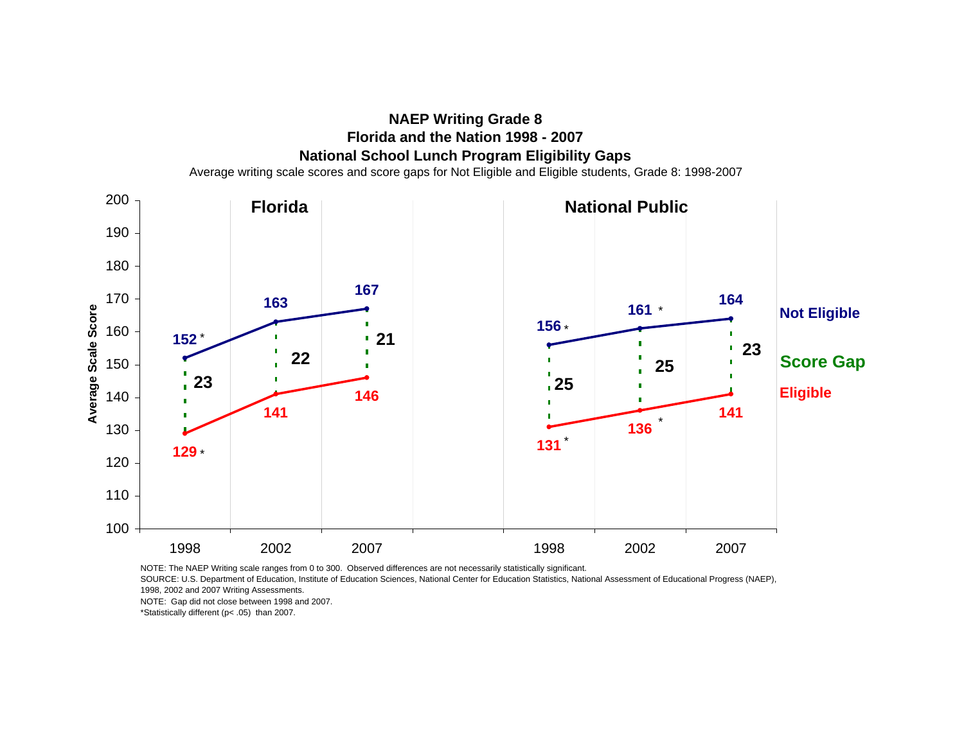



SOURCE: U.S. Department of Education, Institute of Education Sciences, National Center for Education Statistics, National Assessment of Educational Progress (NAEP), 1998, 2002 and 2007 Writing Assessments.

NOTE: Gap did not close between 1998 and 2007.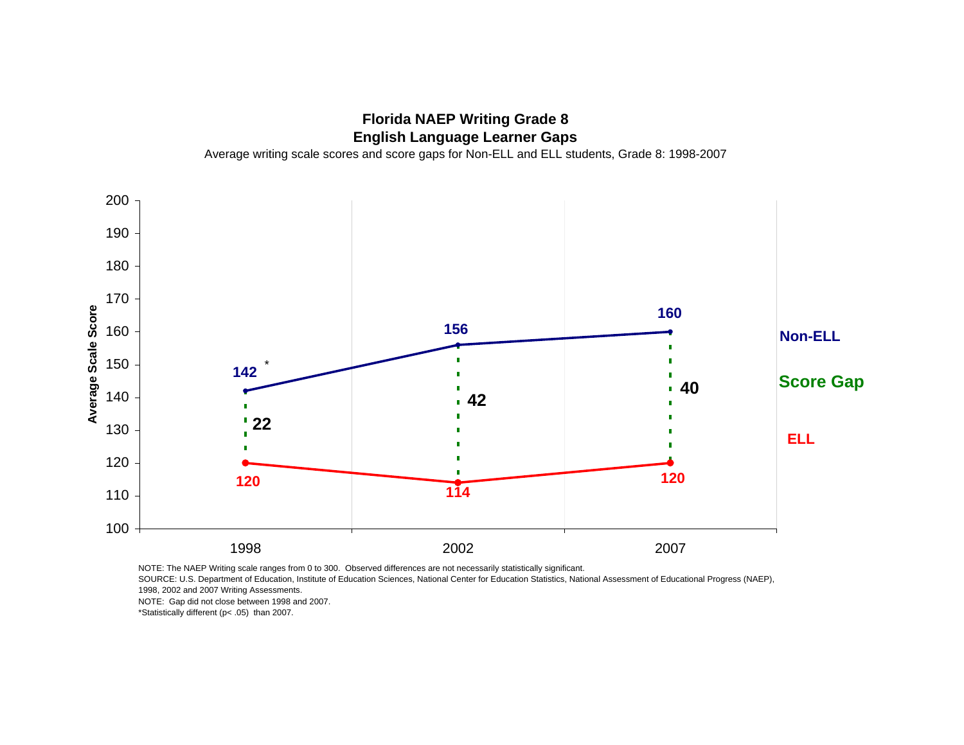## **Florida NAEP Writing Grade 8 English Language Learner Gaps**

Average writing scale scores and score gaps for Non-ELL and ELL students, Grade 8: 1998-2007



NOTE: The NAEP Writing scale ranges from 0 to 300. Observed differences are not necessarily statistically significant.

SOURCE: U.S. Department of Education, Institute of Education Sciences, National Center for Education Statistics, National Assessment of Educational Progress (NAEP), 1998, 2002 and 2007 Writing Assessments.

NOTE: Gap did not close between 1998 and 2007.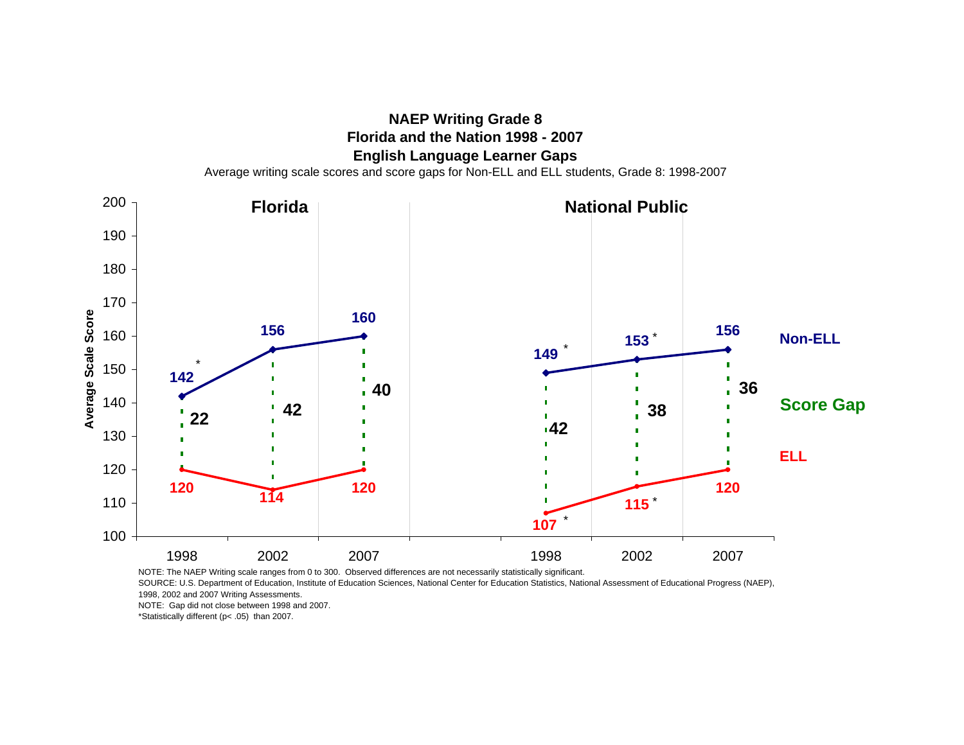

**NAEP Writing Grade 8**

NOTE: The NAEP Writing scale ranges from 0 to 300. Observed differences are not necessarily statistically significant.

SOURCE: U.S. Department of Education, Institute of Education Sciences, National Center for Education Statistics, National Assessment of Educational Progress (NAEP), 1998, 2002 and 2007 Writing Assessments.

NOTE: Gap did not close between 1998 and 2007.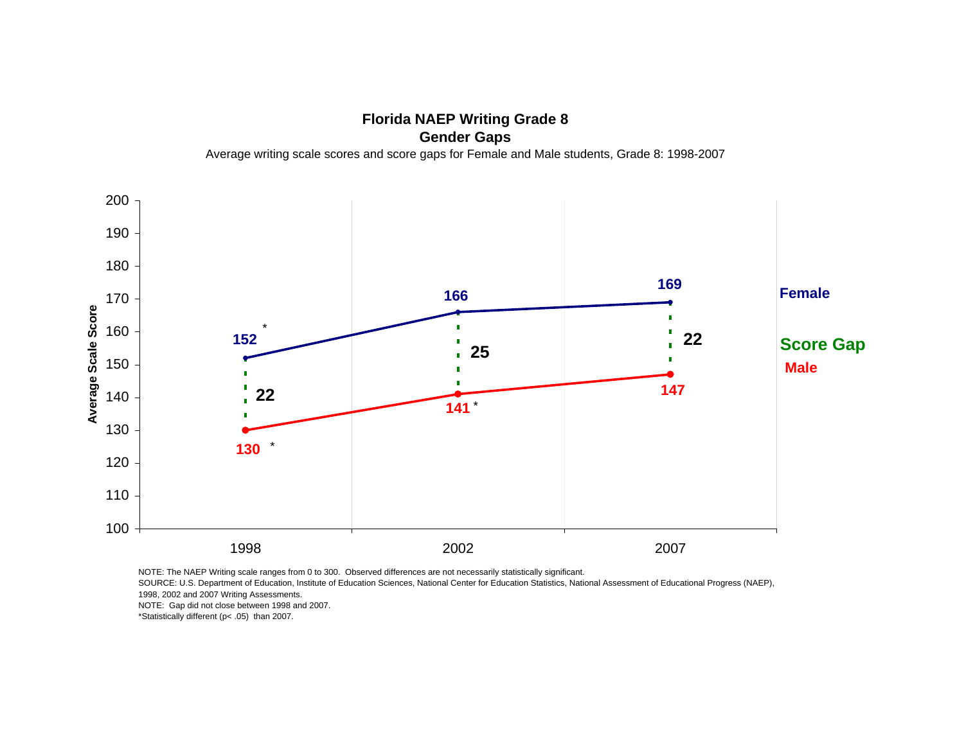**Florida NAEP Writing Grade 8 Gender Gaps** Average writing scale scores and score gaps for Female and Male students, Grade 8: 1998-2007



SOURCE: U.S. Department of Education, Institute of Education Sciences, National Center for Education Statistics, National Assessment of Educational Progress (NAEP), 1998, 2002 and 2007 Writing Assessments.

NOTE: Gap did not close between 1998 and 2007.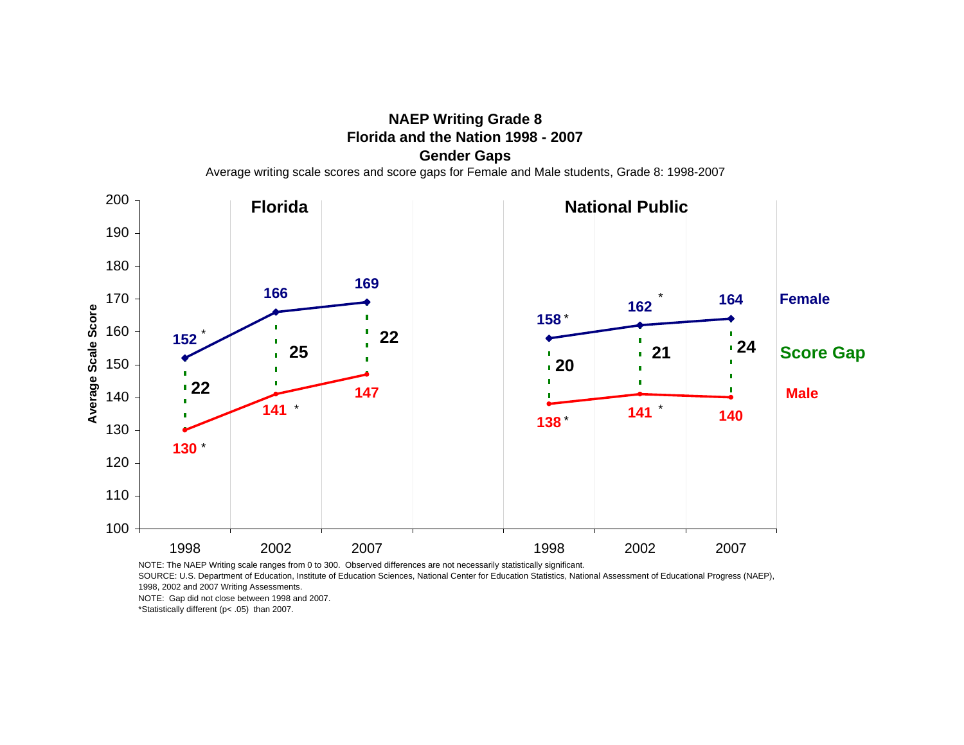**Florida and the Nation 1998 - 2007Gender Gaps**

**NAEP Writing Grade 8**

Average writing scale scores and score gaps for Female and Male students, Grade 8: 1998-2007



NOTE: The NAEP Writing scale ranges from 0 to 300. Observed differences are not necessarily statistically significant.

SOURCE: U.S. Department of Education, Institute of Education Sciences, National Center for Education Statistics, National Assessment of Educational Progress (NAEP), 1998, 2002 and 2007 Writing Assessments.

NOTE: Gap did not close between 1998 and 2007.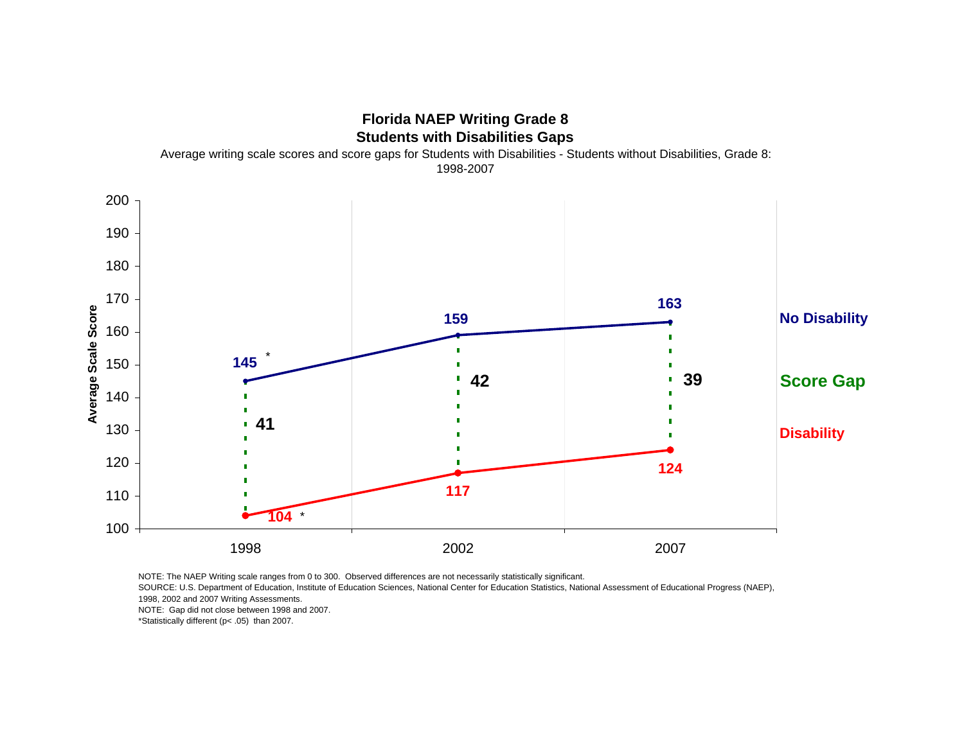

SOURCE: U.S. Department of Education, Institute of Education Sciences, National Center for Education Statistics, National Assessment of Educational Progress (NAEP), 1998, 2002 and 2007 Writing Assessments.

NOTE: Gap did not close between 1998 and 2007.